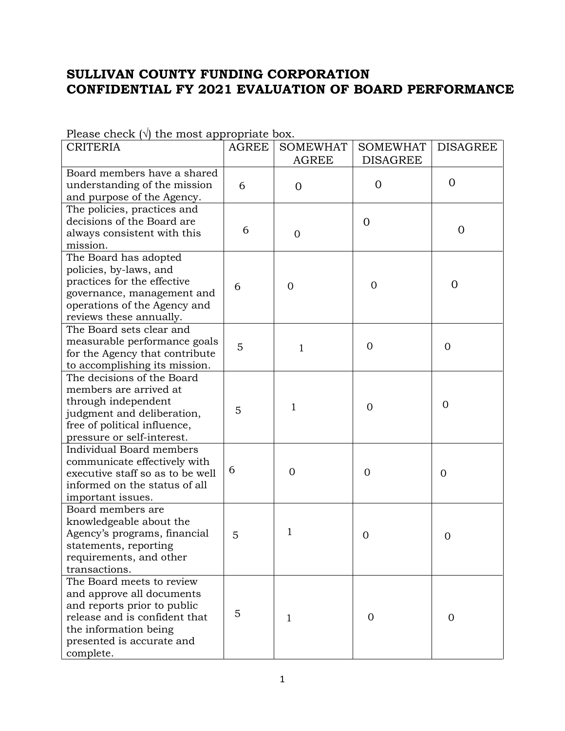## **SULLIVAN COUNTY FUNDING CORPORATION CONFIDENTIAL FY 2021 EVALUATION OF BOARD PERFORMANCE**

| $\frac{1}{2}$<br><b>CRITERIA</b> | <b>AGREE</b> | <b>SOMEWHAT</b> | <b>SOMEWHAT</b> | <b>DISAGREE</b> |
|----------------------------------|--------------|-----------------|-----------------|-----------------|
|                                  |              | <b>AGREE</b>    | <b>DISAGREE</b> |                 |
| Board members have a shared      |              |                 |                 |                 |
| understanding of the mission     | 6            | $\overline{0}$  | $\overline{0}$  | $\overline{0}$  |
| and purpose of the Agency.       |              |                 |                 |                 |
| The policies, practices and      |              |                 |                 |                 |
| decisions of the Board are       |              |                 | $\Omega$        |                 |
| always consistent with this      | 6            | $\overline{0}$  |                 | $\overline{0}$  |
| mission.                         |              |                 |                 |                 |
| The Board has adopted            |              |                 |                 |                 |
| policies, by-laws, and           |              |                 |                 |                 |
| practices for the effective      | 6            | $\overline{0}$  | $\overline{0}$  | $\overline{0}$  |
| governance, management and       |              |                 |                 |                 |
| operations of the Agency and     |              |                 |                 |                 |
| reviews these annually.          |              |                 |                 |                 |
| The Board sets clear and         |              |                 |                 |                 |
| measurable performance goals     | 5            |                 | $\overline{0}$  | $\Omega$        |
| for the Agency that contribute   |              | $\mathbf{1}$    |                 |                 |
| to accomplishing its mission.    |              |                 |                 |                 |
| The decisions of the Board       |              |                 |                 |                 |
| members are arrived at           |              |                 |                 |                 |
| through independent              |              |                 |                 | $\Omega$        |
| judgment and deliberation,       | 5            | 1               | $\overline{0}$  |                 |
| free of political influence,     |              |                 |                 |                 |
| pressure or self-interest.       |              |                 |                 |                 |
| <b>Individual Board members</b>  |              |                 |                 |                 |
| communicate effectively with     |              |                 |                 |                 |
| executive staff so as to be well | 6            | $\overline{0}$  | $\Omega$        | $\overline{0}$  |
| informed on the status of all    |              |                 |                 |                 |
| important issues.                |              |                 |                 |                 |
| Board members are                |              |                 |                 |                 |
| knowledgeable about the          |              |                 |                 |                 |
| Agency's programs, financial     | 5            | 1               | $\overline{0}$  | 0               |
| statements, reporting            |              |                 |                 |                 |
| requirements, and other          |              |                 |                 |                 |
| transactions.                    |              |                 |                 |                 |
| The Board meets to review        |              |                 |                 |                 |
| and approve all documents        |              |                 |                 |                 |
| and reports prior to public      |              |                 |                 |                 |
| release and is confident that    | 5            | 1               | 0               | $\Omega$        |
| the information being            |              |                 |                 |                 |
| presented is accurate and        |              |                 |                 |                 |
| complete.                        |              |                 |                 |                 |

Please check  $(\sqrt{a})$  the most appropriate box.